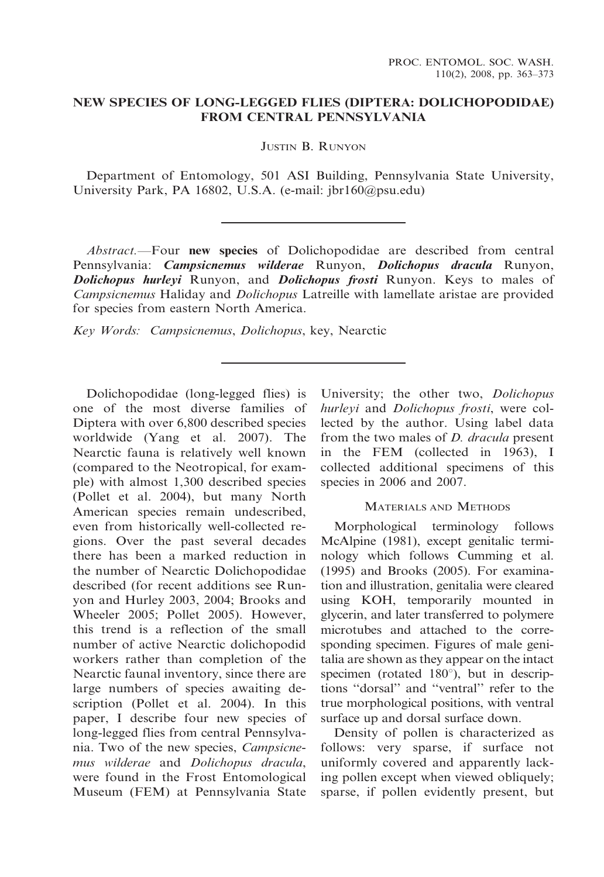## NEW SPECIES OF LONG-LEGGED FLIES (DIPTERA: DOLICHOPODIDAE) FROM CENTRAL PENNSYLVANIA

JUSTIN B. RUNYON

Department of Entomology, 501 ASI Building, Pennsylvania State University, University Park, PA 16802, U.S.A. (e-mail: jbr160@psu.edu)

Abstract.—Four new species of Dolichopodidae are described from central Pennsylvania: Campsicnemus wilderae Runyon, Dolichopus dracula Runyon, Dolichopus hurleyi Runyon, and Dolichopus frosti Runyon. Keys to males of Campsicnemus Haliday and Dolichopus Latreille with lamellate aristae are provided for species from eastern North America.

Key Words: Campsicnemus, Dolichopus, key, Nearctic

Dolichopodidae (long-legged flies) is one of the most diverse families of Diptera with over 6,800 described species worldwide (Yang et al. 2007). The Nearctic fauna is relatively well known (compared to the Neotropical, for example) with almost 1,300 described species (Pollet et al. 2004), but many North American species remain undescribed, even from historically well-collected regions. Over the past several decades there has been a marked reduction in the number of Nearctic Dolichopodidae described (for recent additions see Runyon and Hurley 2003, 2004; Brooks and Wheeler 2005; Pollet 2005). However, this trend is a reflection of the small number of active Nearctic dolichopodid workers rather than completion of the Nearctic faunal inventory, since there are large numbers of species awaiting description (Pollet et al. 2004). In this paper, I describe four new species of long-legged flies from central Pennsylvania. Two of the new species, Campsicnemus wilderae and Dolichopus dracula, were found in the Frost Entomological Museum (FEM) at Pennsylvania State

University; the other two, Dolichopus hurleyi and Dolichopus frosti, were collected by the author. Using label data from the two males of D. dracula present in the FEM (collected in 1963), I collected additional specimens of this species in 2006 and 2007.

#### MATERIALS AND METHODS

Morphological terminology follows McAlpine (1981), except genitalic terminology which follows Cumming et al. (1995) and Brooks (2005). For examination and illustration, genitalia were cleared using KOH, temporarily mounted in glycerin, and later transferred to polymere microtubes and attached to the corresponding specimen. Figures of male genitalia are shown as they appear on the intact specimen (rotated  $180^\circ$ ), but in descriptions ''dorsal'' and ''ventral'' refer to the true morphological positions, with ventral surface up and dorsal surface down.

Density of pollen is characterized as follows: very sparse, if surface not uniformly covered and apparently lacking pollen except when viewed obliquely; sparse, if pollen evidently present, but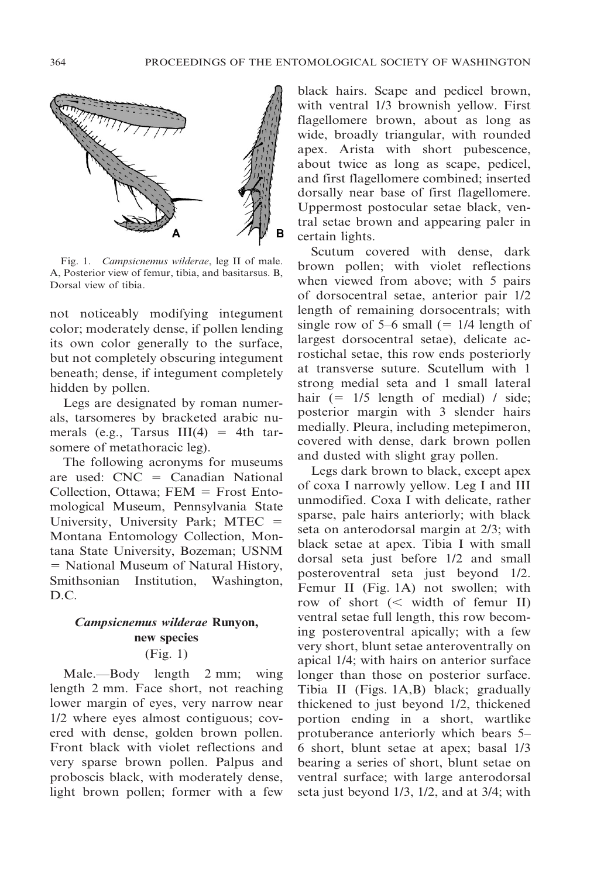

Fig. 1. Campsicnemus wilderae, leg II of male. A, Posterior view of femur, tibia, and basitarsus. B, Dorsal view of tibia.

not noticeably modifying integument color; moderately dense, if pollen lending its own color generally to the surface, but not completely obscuring integument beneath; dense, if integument completely hidden by pollen.

Legs are designated by roman numerals, tarsomeres by bracketed arabic numerals (e.g., Tarsus  $III(4) = 4th$  tarsomere of metathoracic leg).

The following acronyms for museums are used:  $CNC = Canadian National$ Collection, Ottawa;  $FEM =$  Frost Entomological Museum, Pennsylvania State University, University Park;  $MTEC =$ Montana Entomology Collection, Montana State University, Bozeman; USNM 5 National Museum of Natural History, Smithsonian Institution, Washington, D.C.

# Campsicnemus wilderae Runyon, new species

(Fig. 1)

Male.—Body length 2 mm; wing length 2 mm. Face short, not reaching lower margin of eyes, very narrow near 1/2 where eyes almost contiguous; covered with dense, golden brown pollen. Front black with violet reflections and very sparse brown pollen. Palpus and proboscis black, with moderately dense, light brown pollen; former with a few

black hairs. Scape and pedicel brown, with ventral 1/3 brownish yellow. First flagellomere brown, about as long as wide, broadly triangular, with rounded apex. Arista with short pubescence, about twice as long as scape, pedicel, and first flagellomere combined; inserted dorsally near base of first flagellomere. Uppermost postocular setae black, ventral setae brown and appearing paler in certain lights.

Scutum covered with dense, dark brown pollen; with violet reflections when viewed from above; with 5 pairs of dorsocentral setae, anterior pair 1/2 length of remaining dorsocentrals; with single row of  $5-6$  small (= 1/4 length of largest dorsocentral setae), delicate acrostichal setae, this row ends posteriorly at transverse suture. Scutellum with 1 strong medial seta and 1 small lateral hair  $(= 1/5$  length of medial) / side; posterior margin with 3 slender hairs medially. Pleura, including metepimeron, covered with dense, dark brown pollen and dusted with slight gray pollen.

Legs dark brown to black, except apex of coxa I narrowly yellow. Leg I and III unmodified. Coxa I with delicate, rather sparse, pale hairs anteriorly; with black seta on anterodorsal margin at 2/3; with black setae at apex. Tibia I with small dorsal seta just before 1/2 and small posteroventral seta just beyond 1/2. Femur II (Fig. 1A) not swollen; with row of short  $(<$  width of femur II) ventral setae full length, this row becoming posteroventral apically; with a few very short, blunt setae anteroventrally on apical 1/4; with hairs on anterior surface longer than those on posterior surface. Tibia II (Figs. 1A,B) black; gradually thickened to just beyond 1/2, thickened portion ending in a short, wartlike protuberance anteriorly which bears 5– 6 short, blunt setae at apex; basal 1/3 bearing a series of short, blunt setae on ventral surface; with large anterodorsal seta just beyond 1/3, 1/2, and at 3/4; with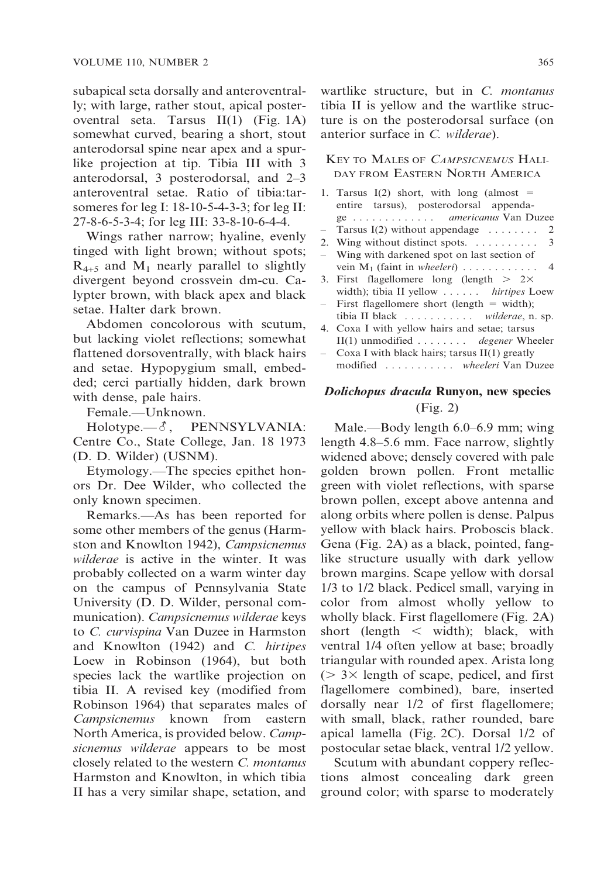subapical seta dorsally and anteroventrally; with large, rather stout, apical posteroventral seta. Tarsus II(1) (Fig. 1A) somewhat curved, bearing a short, stout anterodorsal spine near apex and a spurlike projection at tip. Tibia III with 3 anterodorsal, 3 posterodorsal, and 2–3 anteroventral setae. Ratio of tibia:tarsomeres for leg I: 18-10-5-4-3-3; for leg II: 27-8-6-5-3-4; for leg III: 33-8-10-6-4-4.

Wings rather narrow; hyaline, evenly tinged with light brown; without spots;  $R_{4+5}$  and  $M_1$  nearly parallel to slightly divergent beyond crossvein dm-cu. Calypter brown, with black apex and black setae. Halter dark brown.

Abdomen concolorous with scutum, but lacking violet reflections; somewhat flattened dorsoventrally, with black hairs and setae. Hypopygium small, embedded; cerci partially hidden, dark brown with dense, pale hairs.

Female.—Unknown.

 $Holype. —  $\delta$ , PENNSYLVANIA:$ Centre Co., State College, Jan. 18 1973 (D. D. Wilder) (USNM).

Etymology.—The species epithet honors Dr. Dee Wilder, who collected the only known specimen.

Remarks.—As has been reported for some other members of the genus (Harmston and Knowlton 1942), Campsicnemus wilderae is active in the winter. It was probably collected on a warm winter day on the campus of Pennsylvania State University (D. D. Wilder, personal communication). Campsicnemus wilderae keys to C. curvispina Van Duzee in Harmston and Knowlton (1942) and C. hirtipes Loew in Robinson (1964), but both species lack the wartlike projection on tibia II. A revised key (modified from Robinson 1964) that separates males of Campsicnemus known from eastern North America, is provided below. Campsicnemus wilderae appears to be most closely related to the western C. montanus Harmston and Knowlton, in which tibia II has a very similar shape, setation, and

wartlike structure, but in C. montanus tibia II is yellow and the wartlike structure is on the posterodorsal surface (on anterior surface in C. wilderae).

#### KEY TO MALES OF CAMPSICNEMUS HALI-DAY FROM EASTERN NORTH AMERICA

1. Tarsus  $I(2)$  short, with long (almost  $=$ entire tarsus), posterodorsal appendage . . . . . . . . . . . . . americanus Van Duzee Tarsus I(2) without appendage  $\dots \dots$  2 2. Wing without distinct spots. . . . . . . . . . . 3 Wing with darkened spot on last section of vein M1 (faint in wheeleri) ............ 4 3. First flagellomere long (length  $> 2 \times$ width); tibia II yellow . . . . . . hirtipes Loew First flagellomere short (length  $=$  width); tibia II black . . . . . . . . . . . wilderae, n. sp. 4. Coxa I with yellow hairs and setae; tarsus II(1) unmodified . . . . . . . . degener Wheeler Coxa I with black hairs; tarsus  $II(1)$  greatly modified . . . . . . . . . . . wheeleri Van Duzee

### Dolichopus dracula Runyon, new species (Fig. 2)

Male.—Body length 6.0–6.9 mm; wing length 4.8–5.6 mm. Face narrow, slightly widened above; densely covered with pale golden brown pollen. Front metallic green with violet reflections, with sparse brown pollen, except above antenna and along orbits where pollen is dense. Palpus yellow with black hairs. Proboscis black. Gena (Fig. 2A) as a black, pointed, fanglike structure usually with dark yellow brown margins. Scape yellow with dorsal 1/3 to 1/2 black. Pedicel small, varying in color from almost wholly yellow to wholly black. First flagellomere (Fig. 2A) short (length  $\lt$  width); black, with ventral 1/4 often yellow at base; broadly triangular with rounded apex. Arista long  $($  > 3 $\times$  length of scape, pedicel, and first flagellomere combined), bare, inserted dorsally near 1/2 of first flagellomere; with small, black, rather rounded, bare apical lamella (Fig. 2C). Dorsal 1/2 of postocular setae black, ventral 1/2 yellow.

Scutum with abundant coppery reflections almost concealing dark green ground color; with sparse to moderately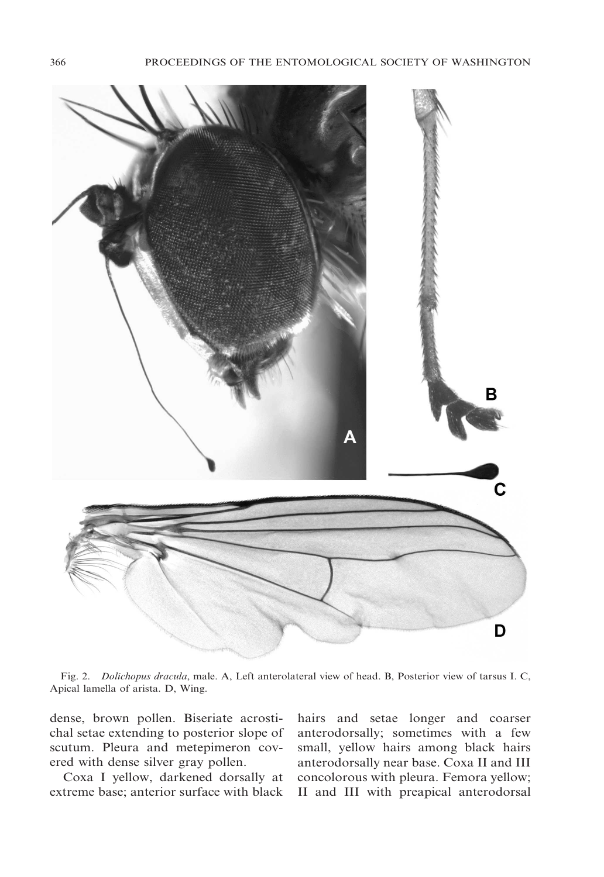

Fig. 2. Dolichopus dracula, male. A, Left anterolateral view of head. B, Posterior view of tarsus I. C, Apical lamella of arista. D, Wing.

dense, brown pollen. Biseriate acrostichal setae extending to posterior slope of scutum. Pleura and metepimeron covered with dense silver gray pollen.

Coxa I yellow, darkened dorsally at extreme base; anterior surface with black

hairs and setae longer and coarser anterodorsally; sometimes with a few small, yellow hairs among black hairs anterodorsally near base. Coxa II and III concolorous with pleura. Femora yellow; II and III with preapical anterodorsal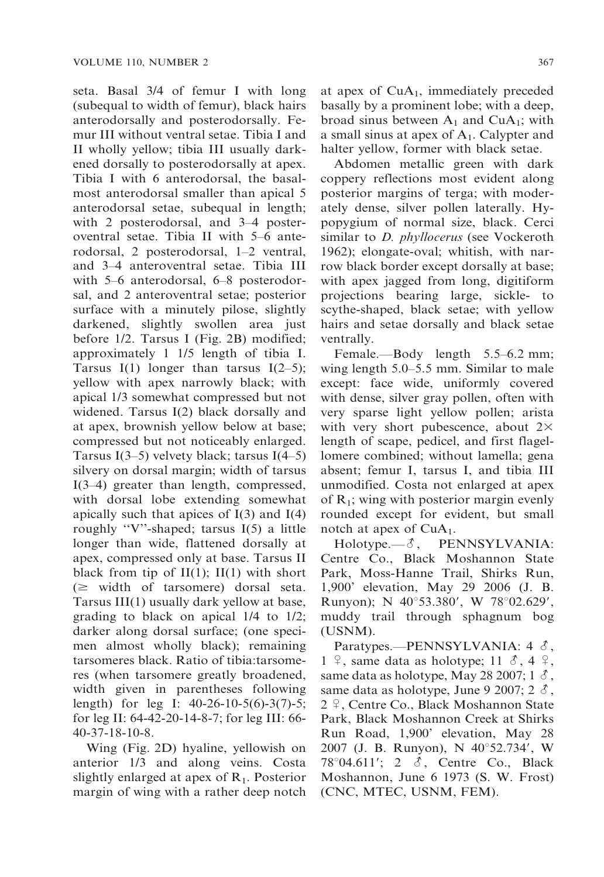seta. Basal 3/4 of femur I with long (subequal to width of femur), black hairs anterodorsally and posterodorsally. Femur III without ventral setae. Tibia I and II wholly yellow; tibia III usually darkened dorsally to posterodorsally at apex. Tibia I with 6 anterodorsal, the basalmost anterodorsal smaller than apical 5 anterodorsal setae, subequal in length; with 2 posterodorsal, and 3–4 posteroventral setae. Tibia II with 5–6 anterodorsal, 2 posterodorsal, 1–2 ventral, and 3–4 anteroventral setae. Tibia III with 5–6 anterodorsal, 6–8 posterodorsal, and 2 anteroventral setae; posterior surface with a minutely pilose, slightly darkened, slightly swollen area just before 1/2. Tarsus I (Fig. 2B) modified; approximately 1 1/5 length of tibia I. Tarsus I(1) longer than tarsus I(2–5); yellow with apex narrowly black; with apical 1/3 somewhat compressed but not widened. Tarsus I(2) black dorsally and at apex, brownish yellow below at base; compressed but not noticeably enlarged. Tarsus I(3–5) velvety black; tarsus I(4–5) silvery on dorsal margin; width of tarsus I(3–4) greater than length, compressed, with dorsal lobe extending somewhat apically such that apices of I(3) and I(4) roughly ''V''-shaped; tarsus I(5) a little longer than wide, flattened dorsally at apex, compressed only at base. Tarsus II black from tip of  $II(1)$ ;  $II(1)$  with short  $(\geq$  width of tarsomere) dorsal seta. Tarsus III(1) usually dark yellow at base, grading to black on apical 1/4 to 1/2; darker along dorsal surface; (one specimen almost wholly black); remaining tarsomeres black. Ratio of tibia:tarsomeres (when tarsomere greatly broadened, width given in parentheses following length) for leg I: 40-26-10-5(6)-3(7)-5; for leg II: 64-42-20-14-8-7; for leg III: 66- 40-37-18-10-8.

Wing (Fig. 2D) hyaline, yellowish on anterior 1/3 and along veins. Costa slightly enlarged at apex of  $R_1$ . Posterior margin of wing with a rather deep notch at apex of  $CuA<sub>1</sub>$ , immediately preceded basally by a prominent lobe; with a deep, broad sinus between  $A_1$  and Cu $A_1$ ; with a small sinus at apex of  $A_1$ . Calypter and halter yellow, former with black setae.

Abdomen metallic green with dark coppery reflections most evident along posterior margins of terga; with moderately dense, silver pollen laterally. Hypopygium of normal size, black. Cerci similar to *D. phyllocerus* (see Vockeroth 1962); elongate-oval; whitish, with narrow black border except dorsally at base; with apex jagged from long, digitiform projections bearing large, sickle- to scythe-shaped, black setae; with yellow hairs and setae dorsally and black setae ventrally.

Female.—Body length 5.5–6.2 mm; wing length 5.0–5.5 mm. Similar to male except: face wide, uniformly covered with dense, silver gray pollen, often with very sparse light yellow pollen; arista with very short pubescence, about  $2\times$ length of scape, pedicel, and first flagellomere combined; without lamella; gena absent; femur I, tarsus I, and tibia III unmodified. Costa not enlarged at apex of  $R_1$ ; wing with posterior margin evenly rounded except for evident, but small notch at apex of  $CuA<sub>1</sub>$ .

Holotype.— $\delta$ , PENNSYLVANIA: Centre Co., Black Moshannon State Park, Moss-Hanne Trail, Shirks Run, 1,900' elevation, May 29 2006 (J. B. Runyon); N 40°53.380', W 78°02.629', muddy trail through sphagnum bog (USNM).

Paratypes.—PENNSYLVANIA:  $4 \delta$ ,  $1 \nvert \varphi$ , same data as holotype;  $11 \nvert \varphi$ ,  $4 \nvert \varphi$ , same data as holotype, May 28 2007;  $1 \delta$ , same data as holotype, June 9 2007;  $2 \delta$ ,  $2 \nvert 2$ , Centre Co., Black Moshannon State Park, Black Moshannon Creek at Shirks Run Road, 1,900' elevation, May 28 2007 (J. B. Runyon), N 40°52.734', W 78 $\degree$ 04.611'; 2  $\delta$ , Centre Co., Black Moshannon, June 6 1973 (S. W. Frost) (CNC, MTEC, USNM, FEM).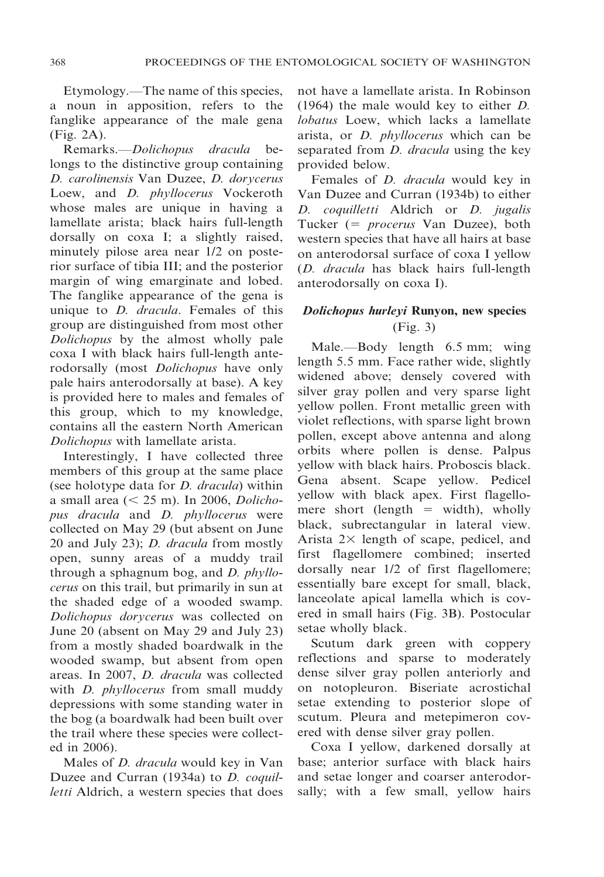Etymology.—The name of this species, a noun in apposition, refers to the fanglike appearance of the male gena (Fig. 2A).

Remarks.—Dolichopus dracula belongs to the distinctive group containing D. carolinensis Van Duzee, D. dorycerus Loew, and *D. phyllocerus* Vockeroth whose males are unique in having a lamellate arista; black hairs full-length dorsally on coxa I; a slightly raised, minutely pilose area near 1/2 on posterior surface of tibia III; and the posterior margin of wing emarginate and lobed. The fanglike appearance of the gena is unique to *D. dracula*. Females of this group are distinguished from most other Dolichopus by the almost wholly pale coxa I with black hairs full-length anterodorsally (most Dolichopus have only pale hairs anterodorsally at base). A key is provided here to males and females of this group, which to my knowledge, contains all the eastern North American Dolichopus with lamellate arista.

Interestingly, I have collected three members of this group at the same place (see holotype data for D. dracula) within a small area  $(< 25$  m). In 2006, *Dolicho*pus dracula and D. phyllocerus were collected on May 29 (but absent on June 20 and July 23); D. dracula from mostly open, sunny areas of a muddy trail through a sphagnum bog, and D. phyllocerus on this trail, but primarily in sun at the shaded edge of a wooded swamp. Dolichopus dorycerus was collected on June 20 (absent on May 29 and July 23) from a mostly shaded boardwalk in the wooded swamp, but absent from open areas. In 2007, D. dracula was collected with *D. phyllocerus* from small muddy depressions with some standing water in the bog (a boardwalk had been built over the trail where these species were collected in 2006).

Males of *D. dracula* would key in Van Duzee and Curran (1934a) to *D. coquil*letti Aldrich, a western species that does not have a lamellate arista. In Robinson (1964) the male would key to either D. lobatus Loew, which lacks a lamellate arista, or D. phyllocerus which can be separated from *D. dracula* using the key provided below.

Females of *D. dracula* would key in Van Duzee and Curran (1934b) to either D. coquilletti Aldrich or D. jugalis Tucker (= *procerus* Van Duzee), both western species that have all hairs at base on anterodorsal surface of coxa I yellow (D. dracula has black hairs full-length anterodorsally on coxa I).

## Dolichopus hurleyi Runyon, new species (Fig. 3)

Male.—Body length 6.5 mm; wing length 5.5 mm. Face rather wide, slightly widened above; densely covered with silver gray pollen and very sparse light yellow pollen. Front metallic green with violet reflections, with sparse light brown pollen, except above antenna and along orbits where pollen is dense. Palpus yellow with black hairs. Proboscis black. Gena absent. Scape yellow. Pedicel yellow with black apex. First flagellomere short (length  $=$  width), wholly black, subrectangular in lateral view. Arista  $2 \times$  length of scape, pedicel, and first flagellomere combined; inserted dorsally near 1/2 of first flagellomere; essentially bare except for small, black, lanceolate apical lamella which is covered in small hairs (Fig. 3B). Postocular setae wholly black.

Scutum dark green with coppery reflections and sparse to moderately dense silver gray pollen anteriorly and on notopleuron. Biseriate acrostichal setae extending to posterior slope of scutum. Pleura and metepimeron covered with dense silver gray pollen.

Coxa I yellow, darkened dorsally at base; anterior surface with black hairs and setae longer and coarser anterodorsally; with a few small, yellow hairs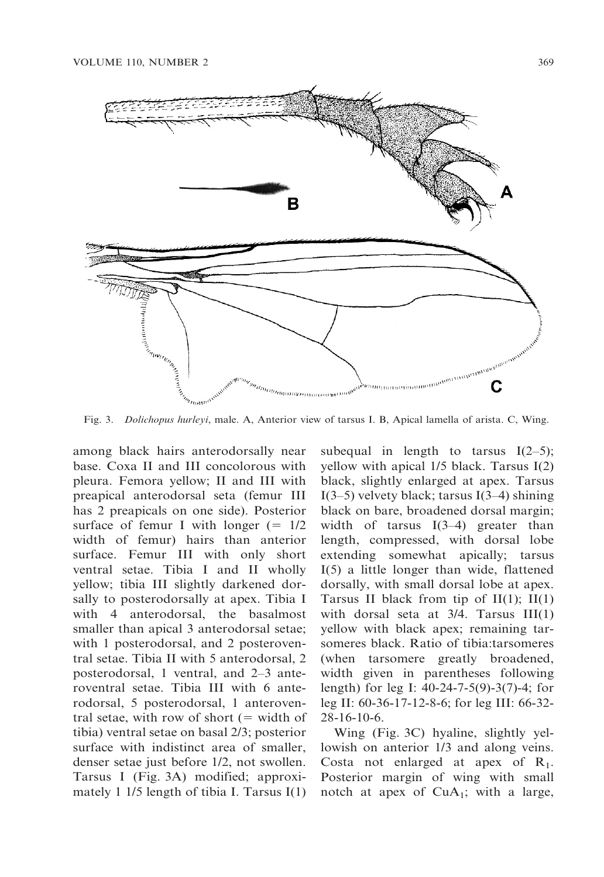

Fig. 3. Dolichopus hurleyi, male. A, Anterior view of tarsus I. B, Apical lamella of arista. C, Wing.

among black hairs anterodorsally near base. Coxa II and III concolorous with pleura. Femora yellow; II and III with preapical anterodorsal seta (femur III has 2 preapicals on one side). Posterior surface of femur I with longer  $(= 1/2)$ width of femur) hairs than anterior surface. Femur III with only short ventral setae. Tibia I and II wholly yellow; tibia III slightly darkened dorsally to posterodorsally at apex. Tibia I with 4 anterodorsal, the basalmost smaller than apical 3 anterodorsal setae; with 1 posterodorsal, and 2 posteroventral setae. Tibia II with 5 anterodorsal, 2 posterodorsal, 1 ventral, and 2–3 anteroventral setae. Tibia III with 6 anterodorsal, 5 posterodorsal, 1 anteroventral setae, with row of short  $(=$  width of tibia) ventral setae on basal 2/3; posterior surface with indistinct area of smaller, denser setae just before 1/2, not swollen. Tarsus I (Fig. 3A) modified; approximately 1 1/5 length of tibia I. Tarsus I(1) subequal in length to tarsus  $I(2-5)$ ; yellow with apical 1/5 black. Tarsus I(2) black, slightly enlarged at apex. Tarsus I(3–5) velvety black; tarsus I(3–4) shining black on bare, broadened dorsal margin; width of tarsus  $I(3-4)$  greater than length, compressed, with dorsal lobe extending somewhat apically; tarsus I(5) a little longer than wide, flattened dorsally, with small dorsal lobe at apex. Tarsus II black from tip of  $II(1)$ ;  $II(1)$ with dorsal seta at 3/4. Tarsus III(1) yellow with black apex; remaining tarsomeres black. Ratio of tibia:tarsomeres (when tarsomere greatly broadened, width given in parentheses following length) for leg I: 40-24-7-5(9)-3(7)-4; for leg II: 60-36-17-12-8-6; for leg III: 66-32- 28-16-10-6.

Wing (Fig. 3C) hyaline, slightly yellowish on anterior 1/3 and along veins. Costa not enlarged at apex of  $R_1$ . Posterior margin of wing with small notch at apex of CuA<sub>1</sub>; with a large,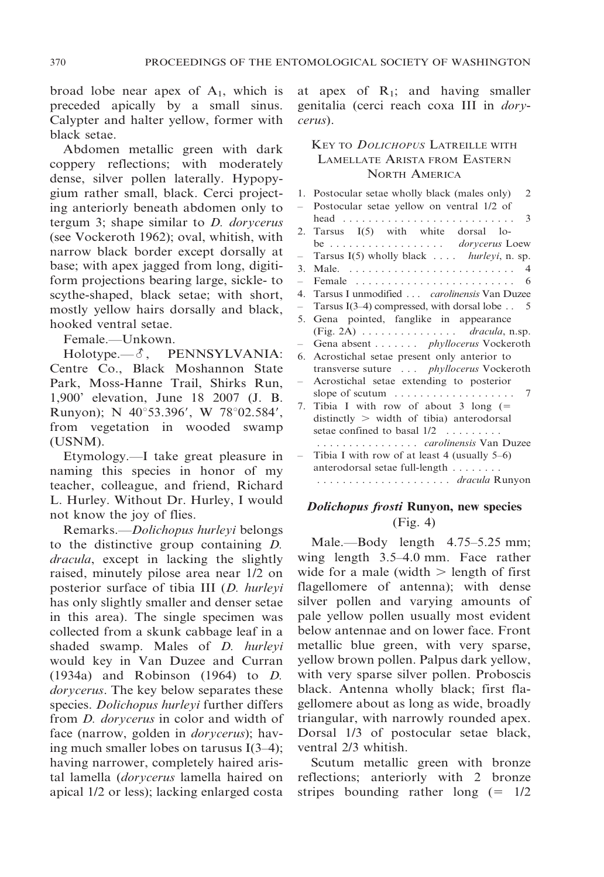broad lobe near apex of  $A_1$ , which is preceded apically by a small sinus. Calypter and halter yellow, former with black setae.

Abdomen metallic green with dark coppery reflections; with moderately dense, silver pollen laterally. Hypopygium rather small, black. Cerci projecting anteriorly beneath abdomen only to tergum 3; shape similar to D. dorycerus (see Vockeroth 1962); oval, whitish, with narrow black border except dorsally at base; with apex jagged from long, digitiform projections bearing large, sickle- to scythe-shaped, black setae; with short, mostly yellow hairs dorsally and black, hooked ventral setae.

Female.—Unkown.

 $Holype. —  $\delta$ , PENNSYLVANIA:$ Centre Co., Black Moshannon State Park, Moss-Hanne Trail, Shirks Run, 1,900' elevation, June 18 2007 (J. B. Runyon); N 40°53.396', W 78°02.584', from vegetation in wooded swamp (USNM).

Etymology.—I take great pleasure in naming this species in honor of my teacher, colleague, and friend, Richard L. Hurley. Without Dr. Hurley, I would not know the joy of flies.

Remarks.—Dolichopus hurleyi belongs to the distinctive group containing D. dracula, except in lacking the slightly raised, minutely pilose area near 1/2 on posterior surface of tibia III (D. hurleyi has only slightly smaller and denser setae in this area). The single specimen was collected from a skunk cabbage leaf in a shaded swamp. Males of *D. hurleyi* would key in Van Duzee and Curran (1934a) and Robinson (1964) to D. dorycerus. The key below separates these species. Dolichopus hurleyi further differs from D. dorycerus in color and width of face (narrow, golden in dorycerus); having much smaller lobes on tarusus I(3–4); having narrower, completely haired aristal lamella (dorycerus lamella haired on apical 1/2 or less); lacking enlarged costa

at apex of  $R_1$ ; and having smaller genitalia (cerci reach coxa III in dorycerus).

## KEY TO DOLICHOPUS LATREILLE WITH LAMELLATE ARISTA FROM EASTERN NORTH AMERICA

|                          | 1. Postocular setae wholly black (males only)<br>2         |
|--------------------------|------------------------------------------------------------|
| $\overline{\phantom{0}}$ | Postocular setae yellow on ventral 1/2 of                  |
|                          | 3                                                          |
| 2.                       | Tarsus I(5) with white dorsal lo-                          |
|                          | be dorycerus Loew                                          |
| -                        | Tarsus $I(5)$ wholly black <i>hurleyi</i> , n. sp.         |
| 3.                       | 4                                                          |
| $\overline{\phantom{0}}$ | Female<br>-6                                               |
|                          | 4. Tarsus I unmodified <i>carolinensis</i> Van Duzee       |
| $\overline{\phantom{0}}$ | Tarsus I(3–4) compressed, with dorsal lobe $\ldots$ 5      |
| 5.                       | Gena pointed, fanglike in appearance                       |
|                          | $(Fig. 2A)$ <i>dracula</i> , n.sp.                         |
|                          | Gena absent phyllocerus Vockeroth                          |
| 6.                       | Acrostichal setae present only anterior to                 |
|                          | transverse suture <i>phyllocerus</i> Vockeroth             |
| $\overline{\phantom{0}}$ | Acrostichal setae extending to posterior                   |
|                          | slope of scutum $\dots \dots \dots \dots \dots \dots$<br>7 |
| 7.                       | Tibia I with row of about 3 long $(=$                      |
|                          | $distinctly > width of tibia) anterodorsal$                |
|                          | setae confined to basal $1/2$                              |
|                          | <i>carolinensis</i> Van Duzee                              |
|                          | Tibia I with row of at least 4 (usually $5-6$ )            |
|                          | anterodorsal setae full-length                             |
|                          |                                                            |
|                          |                                                            |

## Dolichopus frosti Runyon, new species (Fig. 4)

Male.—Body length 4.75–5.25 mm; wing length 3.5–4.0 mm. Face rather wide for a male (width  $>$  length of first flagellomere of antenna); with dense silver pollen and varying amounts of pale yellow pollen usually most evident below antennae and on lower face. Front metallic blue green, with very sparse, yellow brown pollen. Palpus dark yellow, with very sparse silver pollen. Proboscis black. Antenna wholly black; first flagellomere about as long as wide, broadly triangular, with narrowly rounded apex. Dorsal 1/3 of postocular setae black, ventral 2/3 whitish.

Scutum metallic green with bronze reflections; anteriorly with 2 bronze stripes bounding rather long  $(= 1/2)$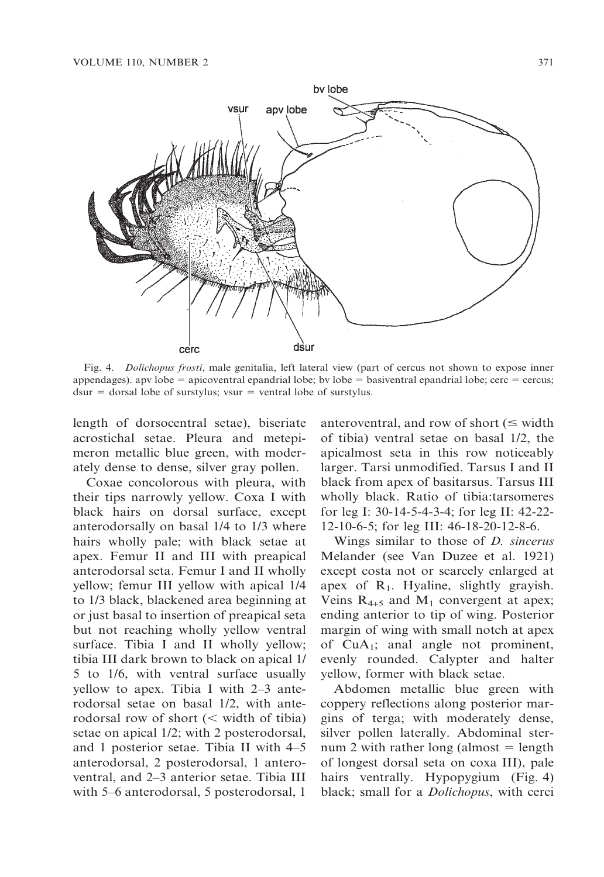

Fig. 4. Dolichopus frosti, male genitalia, left lateral view (part of cercus not shown to expose inner appendages). apv lobe  $=$  apicoventral epandrial lobe; bv lobe  $=$  basiventral epandrial lobe; cerc  $=$  cercus;  $d\tan =$  dorsal lobe of surstylus; vsur = ventral lobe of surstylus.

length of dorsocentral setae), biseriate acrostichal setae. Pleura and metepimeron metallic blue green, with moderately dense to dense, silver gray pollen.

Coxae concolorous with pleura, with their tips narrowly yellow. Coxa I with black hairs on dorsal surface, except anterodorsally on basal 1/4 to 1/3 where hairs wholly pale; with black setae at apex. Femur II and III with preapical anterodorsal seta. Femur I and II wholly yellow; femur III yellow with apical 1/4 to 1/3 black, blackened area beginning at or just basal to insertion of preapical seta but not reaching wholly yellow ventral surface. Tibia I and II wholly yellow; tibia III dark brown to black on apical 1/ 5 to 1/6, with ventral surface usually yellow to apex. Tibia I with 2–3 anterodorsal setae on basal 1/2, with anterodorsal row of short  $(<$  width of tibia) setae on apical 1/2; with 2 posterodorsal, and 1 posterior setae. Tibia II with 4–5 anterodorsal, 2 posterodorsal, 1 anteroventral, and 2–3 anterior setae. Tibia III with 5–6 anterodorsal, 5 posterodorsal, 1

anteroventral, and row of short  $(\leq \text{width})$ of tibia) ventral setae on basal 1/2, the apicalmost seta in this row noticeably larger. Tarsi unmodified. Tarsus I and II black from apex of basitarsus. Tarsus III wholly black. Ratio of tibia:tarsomeres for leg I: 30-14-5-4-3-4; for leg II: 42-22- 12-10-6-5; for leg III: 46-18-20-12-8-6.

Wings similar to those of D. sincerus Melander (see Van Duzee et al. 1921) except costa not or scarcely enlarged at apex of  $R_1$ . Hyaline, slightly grayish. Veins  $R_{4+5}$  and  $M_1$  convergent at apex; ending anterior to tip of wing. Posterior margin of wing with small notch at apex of  $CuA<sub>1</sub>$ ; anal angle not prominent, evenly rounded. Calypter and halter yellow, former with black setae.

Abdomen metallic blue green with coppery reflections along posterior margins of terga; with moderately dense, silver pollen laterally. Abdominal sternum 2 with rather long (almost  $=$  length of longest dorsal seta on coxa III), pale hairs ventrally. Hypopygium (Fig. 4) black; small for a *Dolichopus*, with cerci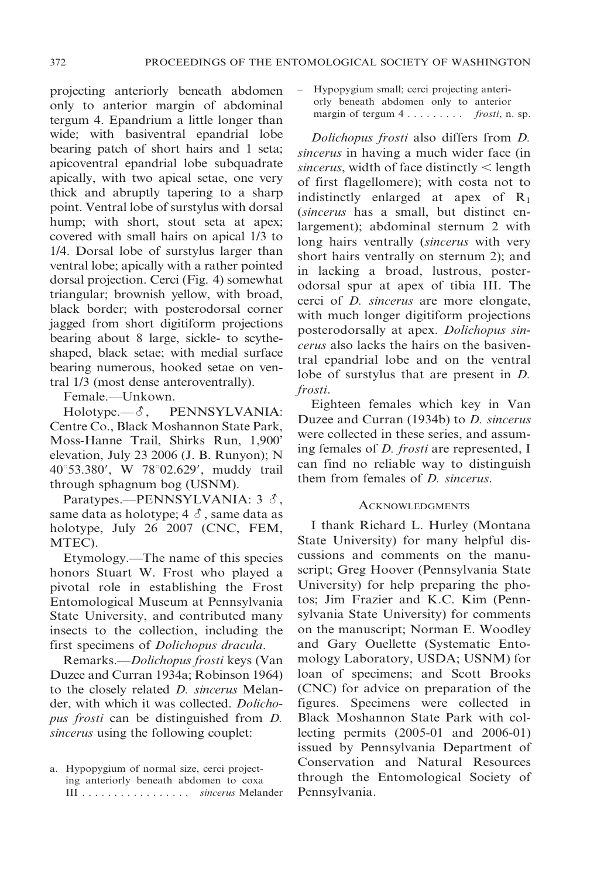projecting anteriorly beneath abdomen only to anterior margin of abdominal tergum 4. Epandrium a little longer than wide; with basiventral epandrial lobe bearing patch of short hairs and 1 seta; apicoventral epandrial lobe subquadrate apically, with two apical setae, one very thick and abruptly tapering to a sharp point. Ventral lobe of surstylus with dorsal hump; with short, stout seta at apex; covered with small hairs on apical 1/3 to 1/4. Dorsal lobe of surstylus larger than ventral lobe; apically with a rather pointed dorsal projection. Cerci (Fig. 4) somewhat triangular; brownish yellow, with broad, black border; with posterodorsal corner jagged from short digitiform projections bearing about 8 large, sickle- to scytheshaped, black setae; with medial surface bearing numerous, hooked setae on ventral 1/3 (most dense anteroventrally).

Female.—Unkown.

 $Holotype. — \mathcal{S}$ , PENNSYLVANIA: Centre Co., Black Moshannon State Park, Moss-Hanne Trail, Shirks Run, 1,900' elevation, July 23 2006 (J. B. Runyon); N 40°53.380', W 78°02.629', muddy trail through sphagnum bog (USNM).

Paratypes.—PENNSYLVANIA:  $3 \delta$ , same data as holotype;  $4 \delta$ , same data as holotype, July 26 2007 (CNC, FEM, MTEC).

Etymology.—The name of this species honors Stuart W. Frost who played a pivotal role in establishing the Frost Entomological Museum at Pennsylvania State University, and contributed many insects to the collection, including the first specimens of Dolichopus dracula.

Remarks.—Dolichopus frosti keys (Van Duzee and Curran 1934a; Robinson 1964) to the closely related D. sincerus Melander, with which it was collected. Dolichopus frosti can be distinguished from D. sincerus using the following couplet:

– Hypopygium small; cerci projecting anteriorly beneath abdomen only to anterior margin of tergum  $4 \ldots \ldots \ldots$  frosti, n. sp.

Dolichopus frosti also differs from D. sincerus in having a much wider face (in sincerus, width of face distinctly  $\leq$  length of first flagellomere); with costa not to indistinctly enlarged at apex of  $R_1$ (sincerus has a small, but distinct enlargement); abdominal sternum 2 with long hairs ventrally (sincerus with very short hairs ventrally on sternum 2); and in lacking a broad, lustrous, posterodorsal spur at apex of tibia III. The cerci of D. sincerus are more elongate, with much longer digitiform projections posterodorsally at apex. Dolichopus sincerus also lacks the hairs on the basiventral epandrial lobe and on the ventral lobe of surstylus that are present in D. frosti.

Eighteen females which key in Van Duzee and Curran (1934b) to D. sincerus were collected in these series, and assuming females of *D. frosti* are represented, I can find no reliable way to distinguish them from females of D. sincerus.

#### **ACKNOWLEDGMENTS**

I thank Richard L. Hurley (Montana State University) for many helpful discussions and comments on the manuscript; Greg Hoover (Pennsylvania State University) for help preparing the photos; Jim Frazier and K.C. Kim (Pennsylvania State University) for comments on the manuscript; Norman E. Woodley and Gary Ouellette (Systematic Entomology Laboratory, USDA; USNM) for loan of specimens; and Scott Brooks (CNC) for advice on preparation of the figures. Specimens were collected in Black Moshannon State Park with collecting permits (2005-01 and 2006-01) issued by Pennsylvania Department of Conservation and Natural Resources through the Entomological Society of Pennsylvania.

a. Hypopygium of normal size, cerci projecting anteriorly beneath abdomen to coxa III . . . . . . . . . . . . . . . . . sincerus Melander